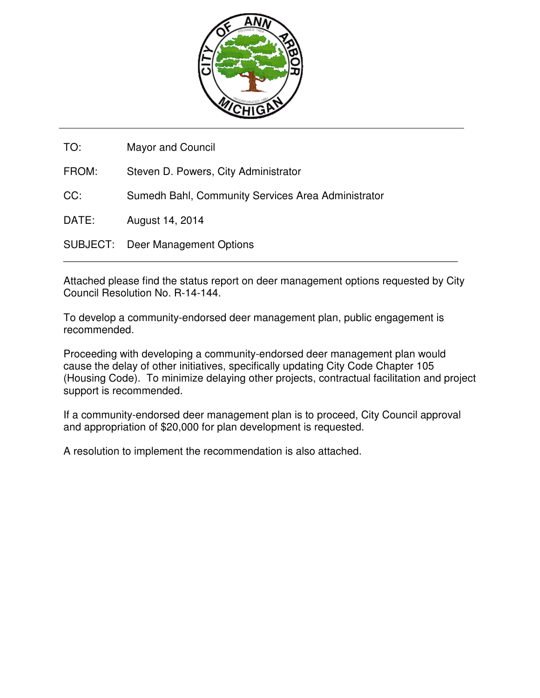

TO: Mayor and Council FROM: Steven D. Powers, City Administrator CC: Sumedh Bahl, Community Services Area Administrator DATE: August 14, 2014 SUBJECT: Deer Management Options

Attached please find the status report on deer management options requested by City Council Resolution No. R-14-144.

 $\overline{a_1}$  ,  $\overline{a_2}$  ,  $\overline{a_3}$  ,  $\overline{a_4}$  ,  $\overline{a_5}$  ,  $\overline{a_6}$  ,  $\overline{a_7}$  ,  $\overline{a_8}$  ,  $\overline{a_9}$  ,  $\overline{a_9}$  ,  $\overline{a_9}$  ,  $\overline{a_9}$  ,  $\overline{a_9}$  ,  $\overline{a_9}$  ,  $\overline{a_9}$  ,  $\overline{a_9}$  ,  $\overline{a_9}$  ,

To develop a community-endorsed deer management plan, public engagement is recommended.

Proceeding with developing a community-endorsed deer management plan would cause the delay of other initiatives, specifically updating City Code Chapter 105 (Housing Code). To minimize delaying other projects, contractual facilitation and project support is recommended.

If a community-endorsed deer management plan is to proceed, City Council approval and appropriation of \$20,000 for plan development is requested.

A resolution to implement the recommendation is also attached.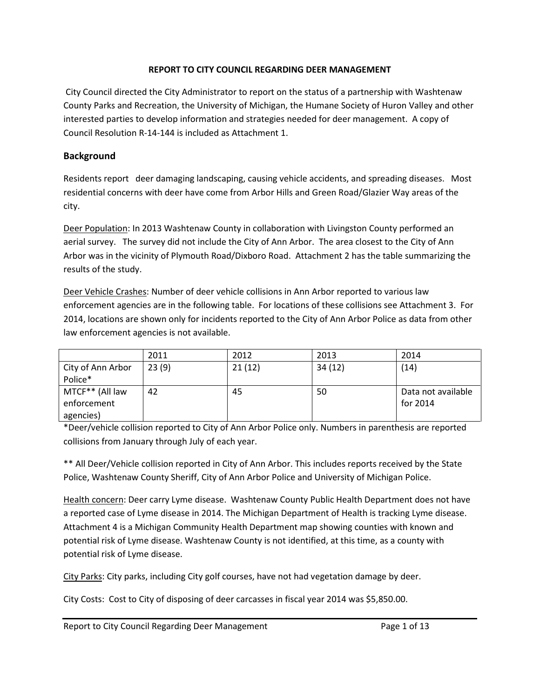## REPORT TO CITY COUNCIL REGARDING DEER MANAGEMENT

 City Council directed the City Administrator to report on the status of a partnership with Washtenaw County Parks and Recreation, the University of Michigan, the Humane Society of Huron Valley and other interested parties to develop information and strategies needed for deer management. A copy of Council Resolution R-14-144 is included as Attachment 1.

## Background

Residents report deer damaging landscaping, causing vehicle accidents, and spreading diseases. Most residential concerns with deer have come from Arbor Hills and Green Road/Glazier Way areas of the city.

Deer Population: In 2013 Washtenaw County in collaboration with Livingston County performed an aerial survey. The survey did not include the City of Ann Arbor. The area closest to the City of Ann Arbor was in the vicinity of Plymouth Road/Dixboro Road. Attachment 2 has the table summarizing the results of the study.

Deer Vehicle Crashes: Number of deer vehicle collisions in Ann Arbor reported to various law enforcement agencies are in the following table. For locations of these collisions see Attachment 3. For 2014, locations are shown only for incidents reported to the City of Ann Arbor Police as data from other law enforcement agencies is not available.

|                   | 2011  | 2012   | 2013    | 2014               |
|-------------------|-------|--------|---------|--------------------|
| City of Ann Arbor | 23(9) | 21(12) | 34 (12) | (14)               |
| Police*           |       |        |         |                    |
| MTCF** (All law   | 42    | 45     | 50      | Data not available |
| enforcement       |       |        |         | for 2014           |
| agencies)         |       |        |         |                    |

\*Deer/vehicle collision reported to City of Ann Arbor Police only. Numbers in parenthesis are reported collisions from January through July of each year.

\*\* All Deer/Vehicle collision reported in City of Ann Arbor. This includes reports received by the State Police, Washtenaw County Sheriff, City of Ann Arbor Police and University of Michigan Police.

Health concern: Deer carry Lyme disease. Washtenaw County Public Health Department does not have a reported case of Lyme disease in 2014. The Michigan Department of Health is tracking Lyme disease. Attachment 4 is a Michigan Community Health Department map showing counties with known and potential risk of Lyme disease. Washtenaw County is not identified, at this time, as a county with potential risk of Lyme disease.

City Parks: City parks, including City golf courses, have not had vegetation damage by deer.

City Costs: Cost to City of disposing of deer carcasses in fiscal year 2014 was \$5,850.00.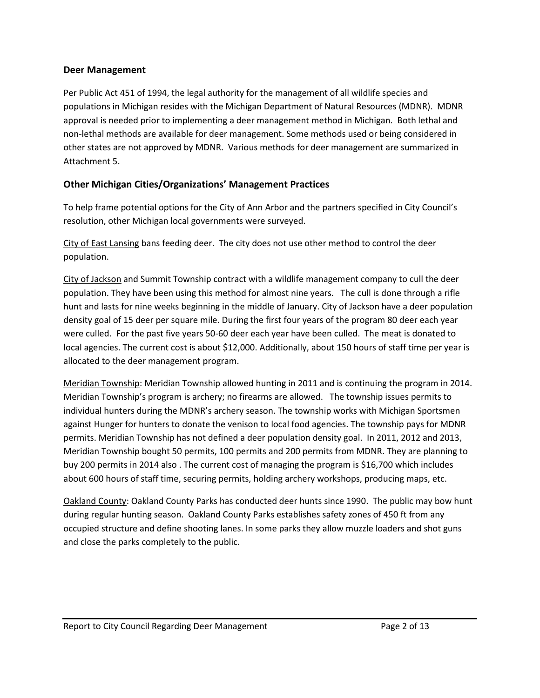#### Deer Management

Per Public Act 451 of 1994, the legal authority for the management of all wildlife species and populations in Michigan resides with the Michigan Department of Natural Resources (MDNR). MDNR approval is needed prior to implementing a deer management method in Michigan. Both lethal and non-lethal methods are available for deer management. Some methods used or being considered in other states are not approved by MDNR. Various methods for deer management are summarized in Attachment 5.

## Other Michigan Cities/Organizations' Management Practices

To help frame potential options for the City of Ann Arbor and the partners specified in City Council's resolution, other Michigan local governments were surveyed.

City of East Lansing bans feeding deer. The city does not use other method to control the deer population.

City of Jackson and Summit Township contract with a wildlife management company to cull the deer population. They have been using this method for almost nine years. The cull is done through a rifle hunt and lasts for nine weeks beginning in the middle of January. City of Jackson have a deer population density goal of 15 deer per square mile. During the first four years of the program 80 deer each year were culled. For the past five years 50-60 deer each year have been culled. The meat is donated to local agencies. The current cost is about \$12,000. Additionally, about 150 hours of staff time per year is allocated to the deer management program.

Meridian Township: Meridian Township allowed hunting in 2011 and is continuing the program in 2014. Meridian Township's program is archery; no firearms are allowed. The township issues permits to individual hunters during the MDNR's archery season. The township works with Michigan Sportsmen against Hunger for hunters to donate the venison to local food agencies. The township pays for MDNR permits. Meridian Township has not defined a deer population density goal. In 2011, 2012 and 2013, Meridian Township bought 50 permits, 100 permits and 200 permits from MDNR. They are planning to buy 200 permits in 2014 also . The current cost of managing the program is \$16,700 which includes about 600 hours of staff time, securing permits, holding archery workshops, producing maps, etc.

Oakland County: Oakland County Parks has conducted deer hunts since 1990. The public may bow hunt during regular hunting season. Oakland County Parks establishes safety zones of 450 ft from any occupied structure and define shooting lanes. In some parks they allow muzzle loaders and shot guns and close the parks completely to the public.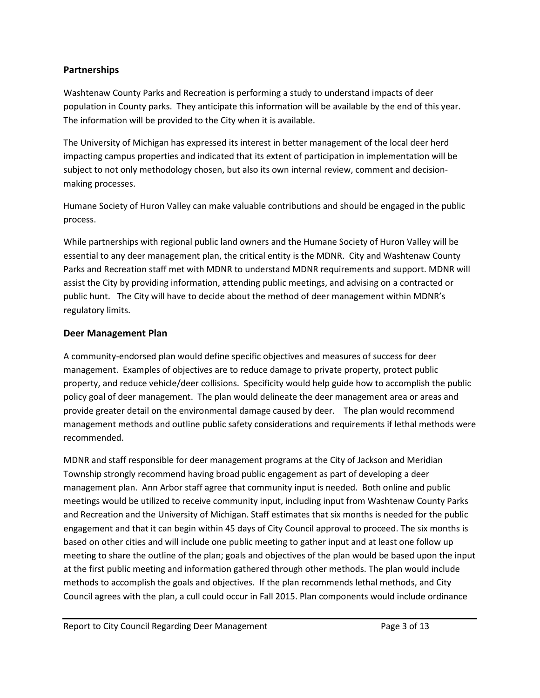## Partnerships

Washtenaw County Parks and Recreation is performing a study to understand impacts of deer population in County parks. They anticipate this information will be available by the end of this year. The information will be provided to the City when it is available.

The University of Michigan has expressed its interest in better management of the local deer herd impacting campus properties and indicated that its extent of participation in implementation will be subject to not only methodology chosen, but also its own internal review, comment and decisionmaking processes.

Humane Society of Huron Valley can make valuable contributions and should be engaged in the public process.

While partnerships with regional public land owners and the Humane Society of Huron Valley will be essential to any deer management plan, the critical entity is the MDNR. City and Washtenaw County Parks and Recreation staff met with MDNR to understand MDNR requirements and support. MDNR will assist the City by providing information, attending public meetings, and advising on a contracted or public hunt. The City will have to decide about the method of deer management within MDNR's regulatory limits.

## Deer Management Plan

A community-endorsed plan would define specific objectives and measures of success for deer management. Examples of objectives are to reduce damage to private property, protect public property, and reduce vehicle/deer collisions. Specificity would help guide how to accomplish the public policy goal of deer management. The plan would delineate the deer management area or areas and provide greater detail on the environmental damage caused by deer. The plan would recommend management methods and outline public safety considerations and requirements if lethal methods were recommended.

MDNR and staff responsible for deer management programs at the City of Jackson and Meridian Township strongly recommend having broad public engagement as part of developing a deer management plan. Ann Arbor staff agree that community input is needed. Both online and public meetings would be utilized to receive community input, including input from Washtenaw County Parks and Recreation and the University of Michigan. Staff estimates that six months is needed for the public engagement and that it can begin within 45 days of City Council approval to proceed. The six months is based on other cities and will include one public meeting to gather input and at least one follow up meeting to share the outline of the plan; goals and objectives of the plan would be based upon the input at the first public meeting and information gathered through other methods. The plan would include methods to accomplish the goals and objectives. If the plan recommends lethal methods, and City Council agrees with the plan, a cull could occur in Fall 2015. Plan components would include ordinance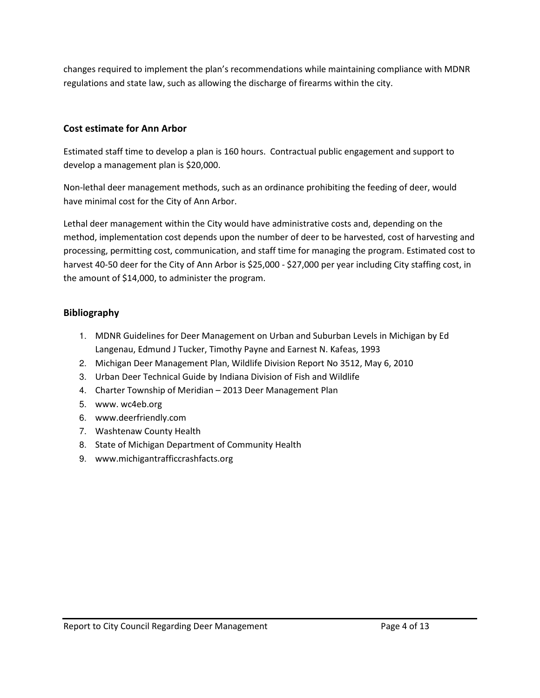changes required to implement the plan's recommendations while maintaining compliance with MDNR regulations and state law, such as allowing the discharge of firearms within the city.

## Cost estimate for Ann Arbor

Estimated staff time to develop a plan is 160 hours. Contractual public engagement and support to develop a management plan is \$20,000.

Non-lethal deer management methods, such as an ordinance prohibiting the feeding of deer, would have minimal cost for the City of Ann Arbor.

Lethal deer management within the City would have administrative costs and, depending on the method, implementation cost depends upon the number of deer to be harvested, cost of harvesting and processing, permitting cost, communication, and staff time for managing the program. Estimated cost to harvest 40-50 deer for the City of Ann Arbor is \$25,000 - \$27,000 per year including City staffing cost, in the amount of \$14,000, to administer the program.

## Bibliography

- 1. MDNR Guidelines for Deer Management on Urban and Suburban Levels in Michigan by Ed Langenau, Edmund J Tucker, Timothy Payne and Earnest N. Kafeas, 1993
- 2. Michigan Deer Management Plan, Wildlife Division Report No 3512, May 6, 2010
- 3. Urban Deer Technical Guide by Indiana Division of Fish and Wildlife
- 4. Charter Township of Meridian 2013 Deer Management Plan
- 5. www. wc4eb.org
- 6. www.deerfriendly.com
- 7. Washtenaw County Health
- 8. State of Michigan Department of Community Health
- 9. www.michigantrafficcrashfacts.org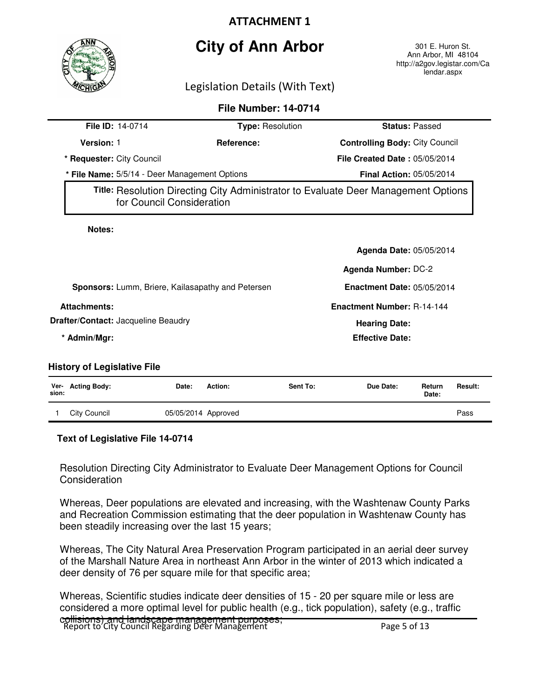



Ann Arbor, MI 48104 http://a2gov.legistar.com/Ca lendar.aspx

Legislation Details (With Text)

|                                                   | <b>File Number: 14-0714</b> |                                                                                    |  |  |  |
|---------------------------------------------------|-----------------------------|------------------------------------------------------------------------------------|--|--|--|
| File ID: 14-0714                                  | <b>Type: Resolution</b>     | <b>Status: Passed</b>                                                              |  |  |  |
| <b>Version: 1</b>                                 | Reference:                  | <b>Controlling Body: City Council</b>                                              |  |  |  |
| * Requester: City Council                         |                             | File Created Date: 05/05/2014                                                      |  |  |  |
| * File Name: 5/5/14 - Deer Management Options     |                             | <b>Final Action: 05/05/2014</b>                                                    |  |  |  |
| for Council Consideration                         |                             | Title: Resolution Directing City Administrator to Evaluate Deer Management Options |  |  |  |
| Notes:                                            |                             |                                                                                    |  |  |  |
|                                                   |                             | Agenda Date: 05/05/2014                                                            |  |  |  |
|                                                   |                             | <b>Agenda Number: DC-2</b>                                                         |  |  |  |
| Sponsors: Lumm, Briere, Kailasapathy and Petersen |                             | <b>Enactment Date: 05/05/2014</b>                                                  |  |  |  |
| <b>Attachments:</b>                               |                             | <b>Enactment Number: R-14-144</b>                                                  |  |  |  |
| <b>Drafter/Contact: Jacqueline Beaudry</b>        |                             | <b>Hearing Date:</b>                                                               |  |  |  |
| * Admin/Mgr:                                      |                             | <b>Effective Date:</b>                                                             |  |  |  |
| <b>History of Legislative File</b>                |                             |                                                                                    |  |  |  |
| Ver- Acting Body:<br>Date:                        | Action:<br>Sent To:         | Due Date:<br>Return<br>Result:                                                     |  |  |  |

| sion: |                     |                     | Date: |  |
|-------|---------------------|---------------------|-------|--|
|       | <b>City Council</b> | 05/05/2014 Approved | Pass  |  |

#### **Text of Legislative File 14-0714**

Resolution Directing City Administrator to Evaluate Deer Management Options for Council **Consideration** 

Whereas, Deer populations are elevated and increasing, with the Washtenaw County Parks and Recreation Commission estimating that the deer population in Washtenaw County has been steadily increasing over the last 15 years;

Whereas, The City Natural Area Preservation Program participated in an aerial deer survey of the Marshall Nature Area in northeast Ann Arbor in the winter of 2013 which indicated a deer density of 76 per square mile for that specific area;

c<del>ollisions) and landscape management purposes;</del><br>Report to City Council Regarding Deer Management Whereas, Scientific studies indicate deer densities of 15 - 20 per square mile or less are considered a more optimal level for public health (e.g., tick population), safety (e.g., traffic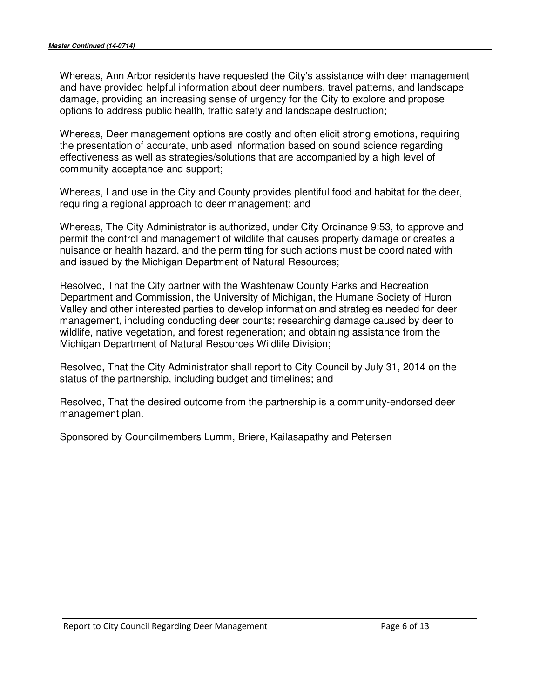Whereas, Ann Arbor residents have requested the City's assistance with deer management and have provided helpful information about deer numbers, travel patterns, and landscape damage, providing an increasing sense of urgency for the City to explore and propose options to address public health, traffic safety and landscape destruction;

Whereas, Deer management options are costly and often elicit strong emotions, requiring the presentation of accurate, unbiased information based on sound science regarding effectiveness as well as strategies/solutions that are accompanied by a high level of community acceptance and support;

Whereas, Land use in the City and County provides plentiful food and habitat for the deer, requiring a regional approach to deer management; and

Whereas, The City Administrator is authorized, under City Ordinance 9:53, to approve and permit the control and management of wildlife that causes property damage or creates a nuisance or health hazard, and the permitting for such actions must be coordinated with and issued by the Michigan Department of Natural Resources;

Resolved, That the City partner with the Washtenaw County Parks and Recreation Department and Commission, the University of Michigan, the Humane Society of Huron Valley and other interested parties to develop information and strategies needed for deer management, including conducting deer counts; researching damage caused by deer to wildlife, native vegetation, and forest regeneration; and obtaining assistance from the Michigan Department of Natural Resources Wildlife Division;

Resolved, That the City Administrator shall report to City Council by July 31, 2014 on the status of the partnership, including budget and timelines; and

Resolved, That the desired outcome from the partnership is a community-endorsed deer management plan.

Sponsored by Councilmembers Lumm, Briere, Kailasapathy and Petersen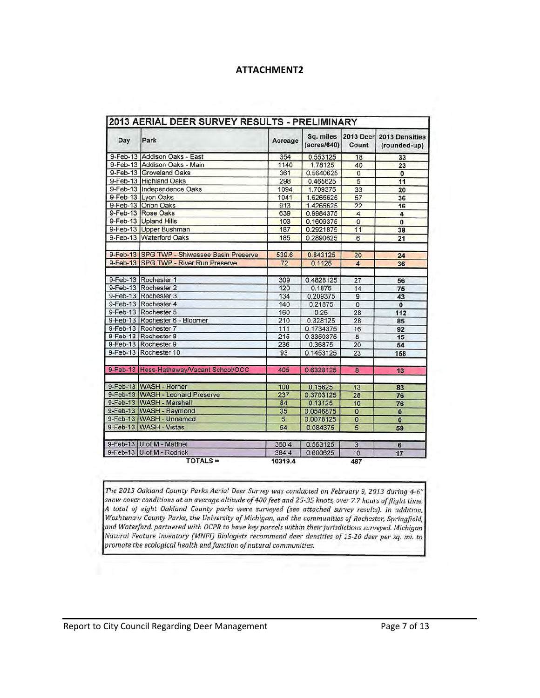| Day | Park                                        | Acreage | Sq. miles<br>(acres/640) | <b>2013 Deer</b><br>Count | 2013 Densities<br>(rounded-up) |
|-----|---------------------------------------------|---------|--------------------------|---------------------------|--------------------------------|
|     | 9-Feb-13 Addison Oaks - East                | 354     | 0.553125                 | 18                        | 33                             |
|     | 9-Feb-13 Addison Oaks - Main                | 1140    | 1.78125                  | 40                        | 23                             |
|     | 9-Feb-13 Groveland Oaks                     | 361     | 0.5640625                | $\overline{0}$            | O                              |
|     | 9-Feb-13 Highland Oaks                      | 298     | 0.465625                 | 5                         | 11                             |
|     | 9-Feb-13 Independence Oaks                  | 1094    | 1.709375                 | 33                        | 20                             |
|     | 9-Feb-13 Lyon Oaks                          | 1041    | 1.6265625                | 57                        | 36                             |
|     | 9-Feb-13 Orion Oaks                         | 913     | 1.4265625                | $\overline{22}$           | 16                             |
|     | 9-Feb-13 Rose Oaks                          | 639     | 0.9984375                | $\overline{4}$            | 4                              |
|     | 9-Feb-13 Upland Hills                       | 103     | 0.1609375                | $\overline{0}$            | $\overline{0}$                 |
|     | 9-Feb-13 Upper Bushman                      | 187     | 0.2921875                | 11                        | 38                             |
|     | 9-Feb-13 Waterford Oaks                     | 185     | 0.2890625                | $6\overline{6}$           | 21                             |
|     | 9-Feb-13 SPG TWP - Shiwassee Basin Preserve | 539.6   | 0.843125                 | 20                        | 24                             |
|     | 9-Feb-13 SPG TWP - River Run Preserve       | 72      | 0.1125                   | $\overline{4}$            | 36                             |
|     | 9-Feb-13 Rochester 1                        | 309     | 0.4828125                | 27                        | 56                             |
|     | 9-Feb-13 Rochester 2                        | 120     | 0.1875                   | 14                        | 75                             |
|     | 9-Feb-13 Rochester 3                        | 134     | 0.209375                 | $\overline{9}$            | 43                             |
|     | 9-Feb-13 Rochester 4                        | 140     | 0.21875                  | $\overline{0}$            | $\overline{0}$                 |
|     | 9-Feb-13 Rochester 5                        | 160     | 0.25                     | 28                        | 112                            |
|     | 9-Feb-13 Rochester 6 - Bloomer              | 210     | 0.328125                 | 28                        | 85                             |
|     | 9-Feb-13 Rochester 7                        | 111     | 0.1734375                | 16                        | 92                             |
|     | 9-Feb-13 Rochester 8                        | 215     | 0.3359375                | 5                         | 15                             |
|     | 9-Feb-13 Rochester 9                        | 236     | 0.36875                  | $\overline{20}$           | 54                             |
|     | 9-Feb-13 Rochester 10                       | 93      | 0.1453125                | 23                        | 158                            |
|     | 9-Feb-13 Hess-Hathaway/Vacant School/OCC    | 405     | 0.6328125                | $\overline{8}$            | 13                             |
|     | 9-Feb-13 WASH - Horner                      | 100     | 0.15625                  | 13                        | 83                             |
|     | 9-Feb-13 WASH - Leonard Preserve            | 237     | 0.3703125                | 28                        | 76                             |
|     | 9-Feb-13 WASH - Marshall                    | 84      | 0.13125                  | 10                        | 76                             |
|     | 9-Feb-13 WASH - Raymond                     | 35      | 0.0546875                | $\overline{0}$            | $\bf{0}$                       |
|     | 9-Feb-13 WASH - Unnamed                     | 5       | 0.0078125                | $\overline{0}$            | $\overline{0}$                 |
|     | 9-Feb-13 WASH - Vistas                      | 54      | 0.084375                 | 5                         | 59                             |
|     | 9-Feb-13 U of M - Matthei                   | 360.4   | 0.563125                 | $\overline{3}$            | 6                              |
|     | 9-Feb-13 U of M - Rodrick                   | 384.4   | 0.600625                 | 10                        | 17                             |
|     | <b>TOTALS =</b>                             | 10319.4 |                          | 467                       |                                |

The 2013 Oakland County Parks Aerial Deer Survey was conducted on February 9, 2013 during 4-6" snow-cover conditions at an average altitude of 400 feet and 25-35 knots, over 7.7 hours of flight time. A total of eight Oakland County parks were surveyed (see attached survey results). In addition, Washtenaw County Parks, the University of Michigan, and the communities of Rochester, Springfield, and Waterford, partnered with OCPR to have key parcels within their jurisdictions surveyed. Michigan Natural Feature Inventory (MNFI) Biologists recommend deer densities of 15-20 deer per sq. mi. to promote the ecological health and function of natural communities.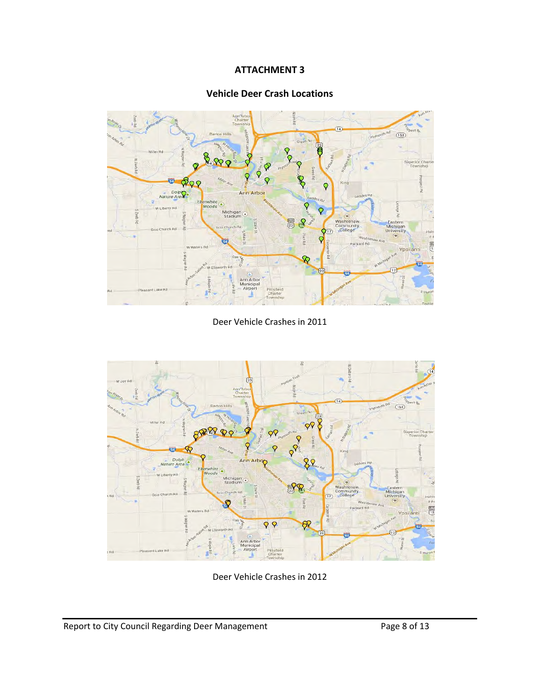## Vehicle Deer Crash Locations



Deer Vehicle Crashes in 2011



Deer Vehicle Crashes in 2012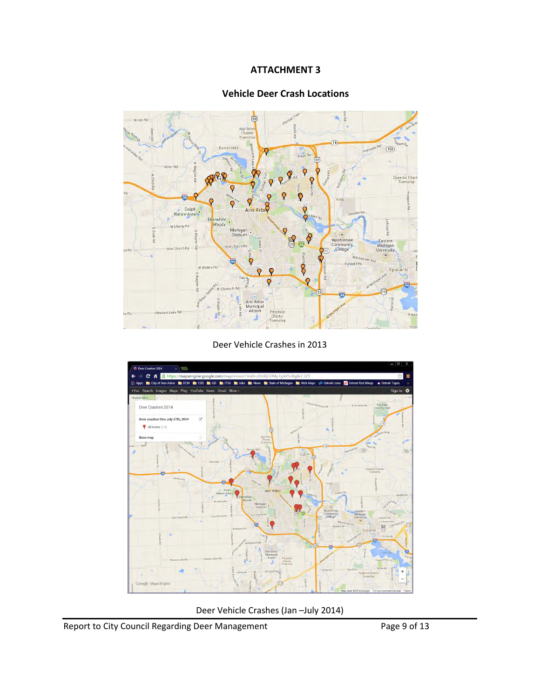## Vehicle Deer Crash Locations



Deer Vehicle Crashes in 2013



Deer Vehicle Crashes (Jan –July 2014)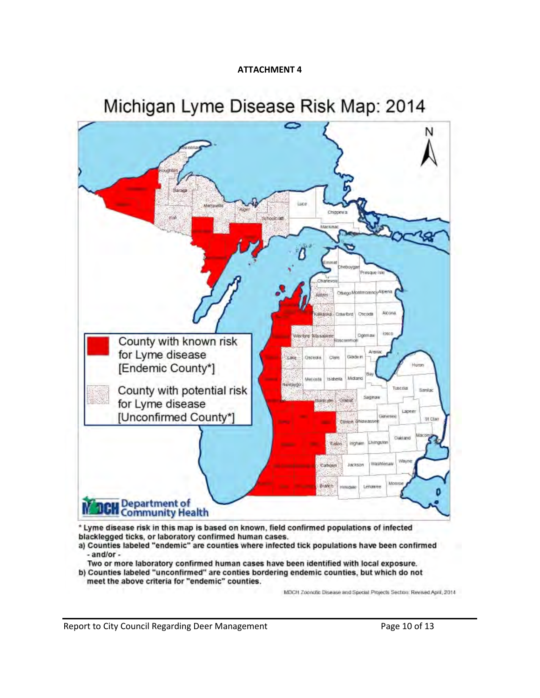# Michigan Lyme Disease Risk Map: 2014



- a) Counties labeled "endemic" are counties where infected tick populations have been confirmed  $-$ and/or $-$
- Two or more laboratory confirmed human cases have been identified with local exposure.
- b) Counties labeled "unconfirmed" are conties bordering endemic counties, but which do not meet the above criteria for "endemic" counties.

MDCH Zoonotic Disease and Special Projects Section: Revised April, 2014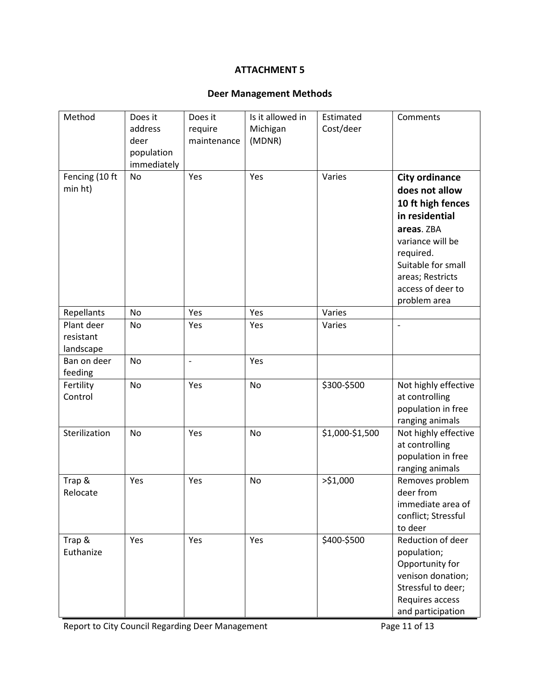## Deer Management Methods

| Method                               | Does it<br>address<br>deer<br>population | Does it<br>require<br>maintenance | Is it allowed in<br>Michigan<br>(MDNR) | Estimated<br>Cost/deer | Comments                                                                                                                                                                                                     |
|--------------------------------------|------------------------------------------|-----------------------------------|----------------------------------------|------------------------|--------------------------------------------------------------------------------------------------------------------------------------------------------------------------------------------------------------|
| Fencing (10 ft<br>min ht)            | immediately<br><b>No</b>                 | Yes                               | Yes                                    | Varies                 | <b>City ordinance</b><br>does not allow<br>10 ft high fences<br>in residential<br>areas. ZBA<br>variance will be<br>required.<br>Suitable for small<br>areas; Restricts<br>access of deer to<br>problem area |
| Repellants                           | No                                       | Yes                               | Yes                                    | Varies                 |                                                                                                                                                                                                              |
| Plant deer<br>resistant<br>landscape | No                                       | Yes                               | Yes                                    | Varies                 | $\overline{a}$                                                                                                                                                                                               |
| Ban on deer<br>feeding               | No                                       | $\overline{\phantom{m}}$          | Yes                                    |                        |                                                                                                                                                                                                              |
| Fertility<br>Control                 | <b>No</b>                                | Yes                               | <b>No</b>                              | \$300-\$500            | Not highly effective<br>at controlling<br>population in free<br>ranging animals                                                                                                                              |
| Sterilization                        | No                                       | Yes                               | No                                     | \$1,000-\$1,500        | Not highly effective<br>at controlling<br>population in free<br>ranging animals                                                                                                                              |
| Trap &<br>Relocate                   | Yes                                      | Yes                               | <b>No</b>                              | >51,000                | Removes problem<br>deer from<br>immediate area of<br>conflict; Stressful<br>to deer                                                                                                                          |
| Trap &<br>Euthanize                  | Yes                                      | Yes                               | Yes                                    | \$400-\$500            | Reduction of deer<br>population;<br>Opportunity for<br>venison donation;<br>Stressful to deer;<br>Requires access<br>and participation                                                                       |

Report to City Council Regarding Deer Management Page 11 of 13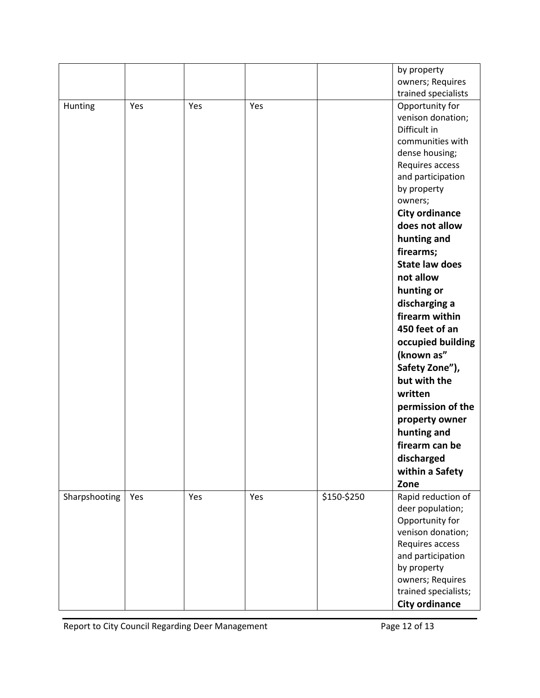|               |     |     |     |             | by property                          |
|---------------|-----|-----|-----|-------------|--------------------------------------|
|               |     |     |     |             | owners; Requires                     |
|               |     |     |     |             | trained specialists                  |
| Hunting       | Yes | Yes | Yes |             | Opportunity for                      |
|               |     |     |     |             | venison donation;                    |
|               |     |     |     |             | Difficult in                         |
|               |     |     |     |             | communities with                     |
|               |     |     |     |             | dense housing;                       |
|               |     |     |     |             | Requires access                      |
|               |     |     |     |             | and participation                    |
|               |     |     |     |             | by property                          |
|               |     |     |     |             | owners;                              |
|               |     |     |     |             | <b>City ordinance</b>                |
|               |     |     |     |             | does not allow                       |
|               |     |     |     |             | hunting and                          |
|               |     |     |     |             | firearms;                            |
|               |     |     |     |             | <b>State law does</b>                |
|               |     |     |     |             | not allow                            |
|               |     |     |     |             | hunting or                           |
|               |     |     |     |             | discharging a                        |
|               |     |     |     |             | firearm within                       |
|               |     |     |     |             | 450 feet of an                       |
|               |     |     |     |             | occupied building                    |
|               |     |     |     |             | (known as"                           |
|               |     |     |     |             | Safety Zone"),                       |
|               |     |     |     |             | but with the                         |
|               |     |     |     |             | written                              |
|               |     |     |     |             | permission of the                    |
|               |     |     |     |             | property owner                       |
|               |     |     |     |             | hunting and                          |
|               |     |     |     |             | firearm can be                       |
|               |     |     |     |             |                                      |
|               |     |     |     |             | discharged                           |
|               |     |     |     |             | within a Safety                      |
|               |     |     |     |             | Zone                                 |
| Sharpshooting | Yes | Yes | Yes | \$150-\$250 | Rapid reduction of                   |
|               |     |     |     |             | deer population;                     |
|               |     |     |     |             | Opportunity for<br>venison donation; |
|               |     |     |     |             | Requires access                      |
|               |     |     |     |             | and participation                    |
|               |     |     |     |             | by property                          |
|               |     |     |     |             | owners; Requires                     |
|               |     |     |     |             | trained specialists;                 |
|               |     |     |     |             | <b>City ordinance</b>                |
|               |     |     |     |             |                                      |